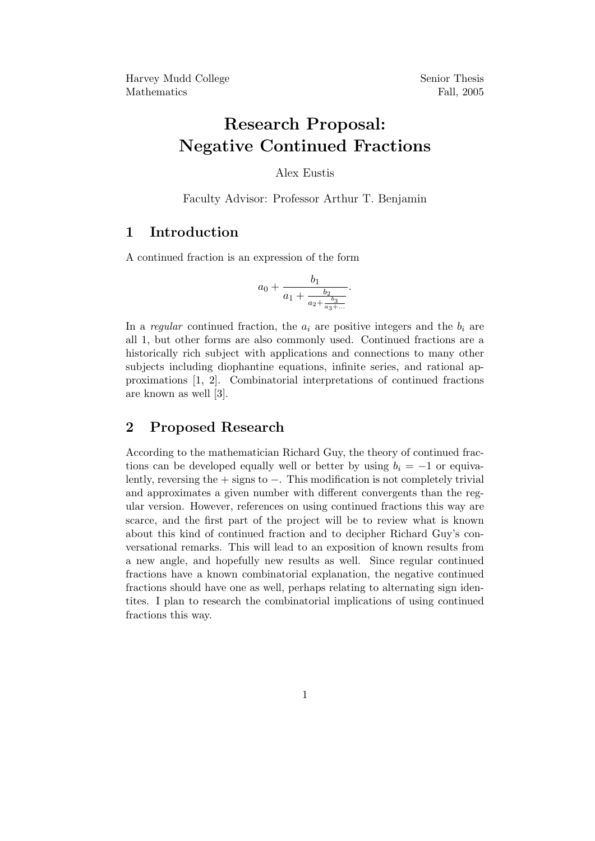# Research Proposal: Negative Continued Fractions

Alex Eustis

Faculty Advisor: Professor Arthur T. Benjamin

#### 1 Introduction

A continued fraction is an expression of the form

$$
a_0 + \frac{b_1}{a_1 + \frac{b_2}{a_2 + \frac{b_3}{a_3 + \dots}}}.
$$

In a regular continued fraction, the  $a_i$  are positive integers and the  $b_i$  are all 1, but other forms are also commonly used. Continued fractions are a historically rich subject with applications and connections to many other subjects including diophantine equations, infinite series, and rational approximations [1, 2]. Combinatorial interpretations of continued fractions are known as well [3].

#### 2 Proposed Research

According to the mathematician Richard Guy, the theory of continued fractions can be developed equally well or better by using  $b_i = -1$  or equivalently, reversing the + signs to −. This modification is not completely trivial and approximates a given number with different convergents than the regular version. However, references on using continued fractions this way are scarce, and the first part of the project will be to review what is known about this kind of continued fraction and to decipher Richard Guy's conversational remarks. This will lead to an exposition of known results from a new angle, and hopefully new results as well. Since regular continued fractions have a known combinatorial explanation, the negative continued fractions should have one as well, perhaps relating to alternating sign identites. I plan to research the combinatorial implications of using continued fractions this way.